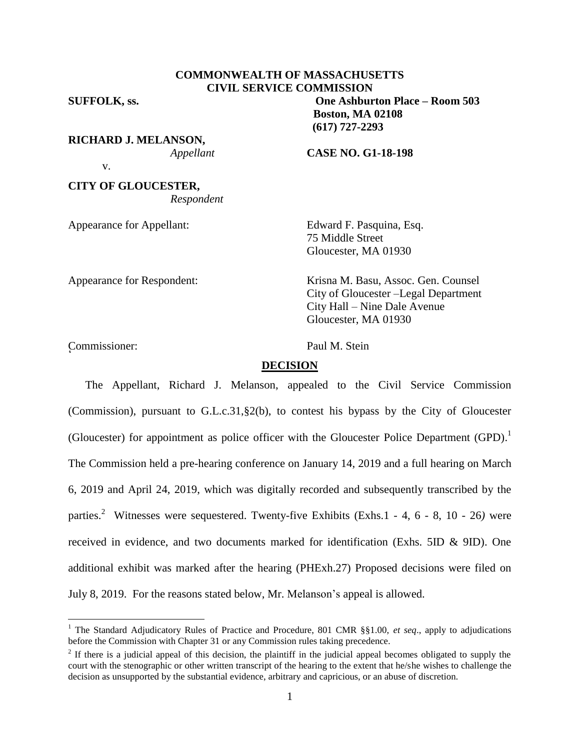# **COMMONWEALTH OF MASSACHUSETTS CIVIL SERVICE COMMISSION**

**RICHARD J. MELANSON,** v.

**CITY OF GLOUCESTER,** *Respondent*

**SUFFOLK, ss. One Ashburton Place – Room 503 Boston, MA 02108 (617) 727-2293**

*Appellant* **CASE NO. G1-18-198**

Appearance for Appellant: Edward F. Pasquina, Esq. 75 Middle Street Gloucester, MA 01930

Appearance for Respondent: Krisna M. Basu, Assoc. Gen. Counsel City of Gloucester –Legal Department City Hall – Nine Dale Avenue Gloucester, MA 01930

Commissioner: Paul M. Stein <sup>2</sup>

 $\overline{a}$ 

#### **DECISION**

The Appellant, Richard J. Melanson, appealed to the Civil Service Commission (Commission), pursuant to G.L.c.31,§2(b), to contest his bypass by the City of Gloucester (Gloucester) for appointment as police officer with the Gloucester Police Department  $(GPD)$ .<sup>1</sup> The Commission held a pre-hearing conference on January 14, 2019 and a full hearing on March 6, 2019 and April 24, 2019, which was digitally recorded and subsequently transcribed by the parties. <sup>2</sup> Witnesses were sequestered. Twenty-five Exhibits (Exhs.1 - 4, 6 - 8, 10 - 26*)* were received in evidence, and two documents marked for identification (Exhs. 5ID & 9ID). One additional exhibit was marked after the hearing (PHExh.27) Proposed decisions were filed on July 8, 2019. For the reasons stated below, Mr. Melanson's appeal is allowed.

<sup>1</sup> The Standard Adjudicatory Rules of Practice and Procedure, 801 CMR §§1.00, *et seq*., apply to adjudications before the Commission with Chapter 31 or any Commission rules taking precedence.

 $2<sup>2</sup>$  If there is a judicial appeal of this decision, the plaintiff in the judicial appeal becomes obligated to supply the court with the stenographic or other written transcript of the hearing to the extent that he/she wishes to challenge the decision as unsupported by the substantial evidence, arbitrary and capricious, or an abuse of discretion.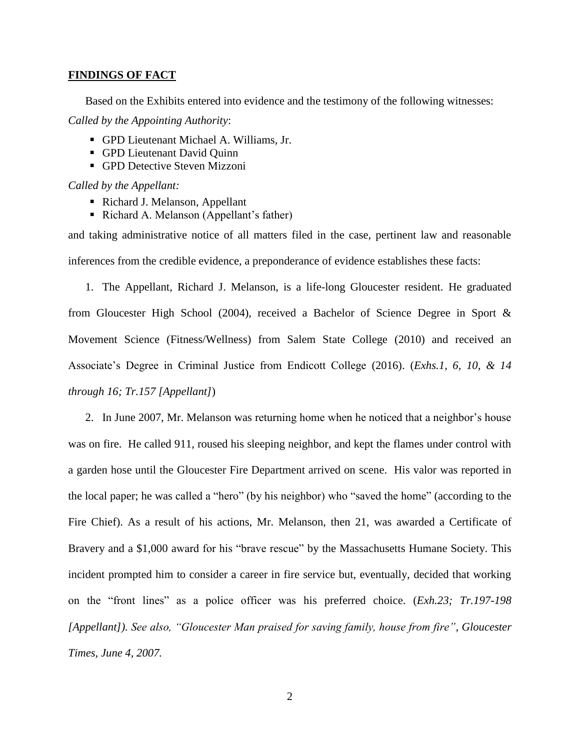#### **FINDINGS OF FACT**

Based on the Exhibits entered into evidence and the testimony of the following witnesses:

*Called by the Appointing Authority*:

- GPD Lieutenant Michael A. Williams, Jr.
- GPD Lieutenant David Quinn
- **GPD Detective Steven Mizzoni**

*Called by the Appellant:*

- Richard J. Melanson, Appellant
- Richard A. Melanson (Appellant's father)

and taking administrative notice of all matters filed in the case, pertinent law and reasonable inferences from the credible evidence, a preponderance of evidence establishes these facts:

1. The Appellant, Richard J. Melanson, is a life-long Gloucester resident. He graduated from Gloucester High School (2004), received a Bachelor of Science Degree in Sport & Movement Science (Fitness/Wellness) from Salem State College (2010) and received an Associate's Degree in Criminal Justice from Endicott College (2016). (*Exhs.1, 6, 10, & 14 through 16; Tr.157 [Appellant]*)

2. In June 2007, Mr. Melanson was returning home when he noticed that a neighbor's house was on fire. He called 911, roused his sleeping neighbor, and kept the flames under control with a garden hose until the Gloucester Fire Department arrived on scene. His valor was reported in the local paper; he was called a "hero" (by his neighbor) who "saved the home" (according to the Fire Chief). As a result of his actions, Mr. Melanson, then 21, was awarded a Certificate of Bravery and a \$1,000 award for his "brave rescue" by the Massachusetts Humane Society. This incident prompted him to consider a career in fire service but, eventually, decided that working on the "front lines" as a police officer was his preferred choice. (*Exh.23; Tr.197-198 [Appellant]). See also, "Gloucester Man praised for saving family, house from fire", Gloucester Times, June 4, 2007.*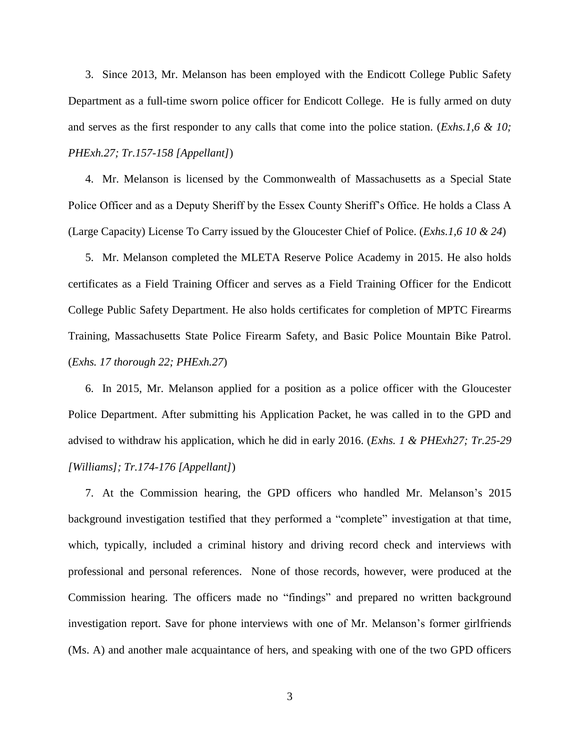3. Since 2013, Mr. Melanson has been employed with the Endicott College Public Safety Department as a full-time sworn police officer for Endicott College. He is fully armed on duty and serves as the first responder to any calls that come into the police station. (*Exhs.1,6 & 10; PHExh.27; Tr.157-158 [Appellant]*)

4. Mr. Melanson is licensed by the Commonwealth of Massachusetts as a Special State Police Officer and as a Deputy Sheriff by the Essex County Sheriff's Office. He holds a Class A (Large Capacity) License To Carry issued by the Gloucester Chief of Police. (*Exhs.1,6 10 & 24*)

5. Mr. Melanson completed the MLETA Reserve Police Academy in 2015. He also holds certificates as a Field Training Officer and serves as a Field Training Officer for the Endicott College Public Safety Department. He also holds certificates for completion of MPTC Firearms Training, Massachusetts State Police Firearm Safety, and Basic Police Mountain Bike Patrol. (*Exhs. 17 thorough 22; PHExh.27*)

6. In 2015, Mr. Melanson applied for a position as a police officer with the Gloucester Police Department. After submitting his Application Packet, he was called in to the GPD and advised to withdraw his application, which he did in early 2016. (*Exhs. 1 & PHExh27; Tr.25-29 [Williams]; Tr.174-176 [Appellant]*)

7. At the Commission hearing, the GPD officers who handled Mr. Melanson's 2015 background investigation testified that they performed a "complete" investigation at that time, which, typically, included a criminal history and driving record check and interviews with professional and personal references. None of those records, however, were produced at the Commission hearing. The officers made no "findings" and prepared no written background investigation report. Save for phone interviews with one of Mr. Melanson's former girlfriends (Ms. A) and another male acquaintance of hers, and speaking with one of the two GPD officers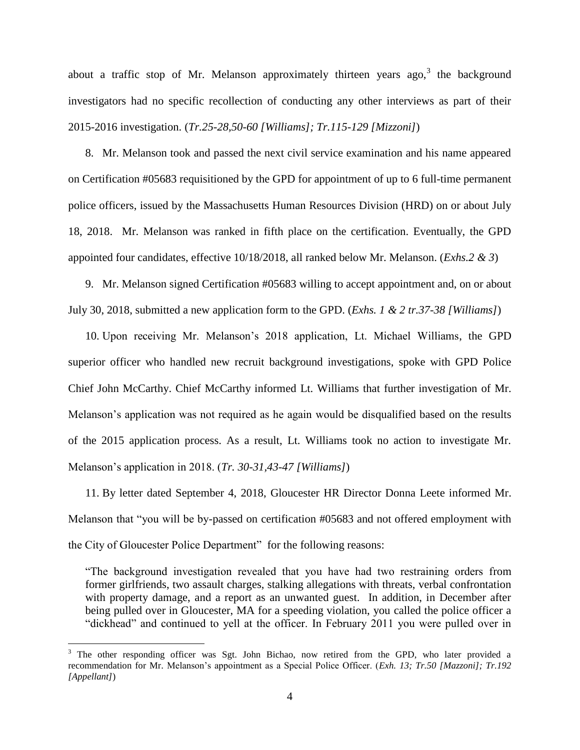about a traffic stop of Mr. Melanson approximately thirteen years ago,  $3$  the background investigators had no specific recollection of conducting any other interviews as part of their 2015-2016 investigation. (*Tr.25-28,50-60 [Williams]; Tr.115-129 [Mizzoni]*)

8. Mr. Melanson took and passed the next civil service examination and his name appeared on Certification #05683 requisitioned by the GPD for appointment of up to 6 full-time permanent police officers, issued by the Massachusetts Human Resources Division (HRD) on or about July 18, 2018. Mr. Melanson was ranked in fifth place on the certification. Eventually, the GPD appointed four candidates, effective 10/18/2018, all ranked below Mr. Melanson. (*Exhs.2 & 3*)

9. Mr. Melanson signed Certification #05683 willing to accept appointment and, on or about July 30, 2018, submitted a new application form to the GPD. (*Exhs. 1 & 2 tr.37-38 [Williams]*)

10. Upon receiving Mr. Melanson's 2018 application, Lt. Michael Williams, the GPD superior officer who handled new recruit background investigations, spoke with GPD Police Chief John McCarthy. Chief McCarthy informed Lt. Williams that further investigation of Mr. Melanson's application was not required as he again would be disqualified based on the results of the 2015 application process. As a result, Lt. Williams took no action to investigate Mr. Melanson's application in 2018. (*Tr. 30-31,43-47 [Williams]*)

11. By letter dated September 4, 2018, Gloucester HR Director Donna Leete informed Mr. Melanson that "you will be by-passed on certification #05683 and not offered employment with the City of Gloucester Police Department" for the following reasons:

"The background investigation revealed that you have had two restraining orders from former girlfriends, two assault charges, stalking allegations with threats, verbal confrontation with property damage, and a report as an unwanted guest. In addition, in December after being pulled over in Gloucester, MA for a speeding violation, you called the police officer a "dickhead" and continued to yell at the officer. In February 2011 you were pulled over in

 $\overline{a}$ 

<sup>&</sup>lt;sup>3</sup> The other responding officer was Sgt. John Bichao, now retired from the GPD, who later provided a recommendation for Mr. Melanson's appointment as a Special Police Officer. (*Exh. 13; Tr.50 [Mazzoni]; Tr.192 [Appellant]*)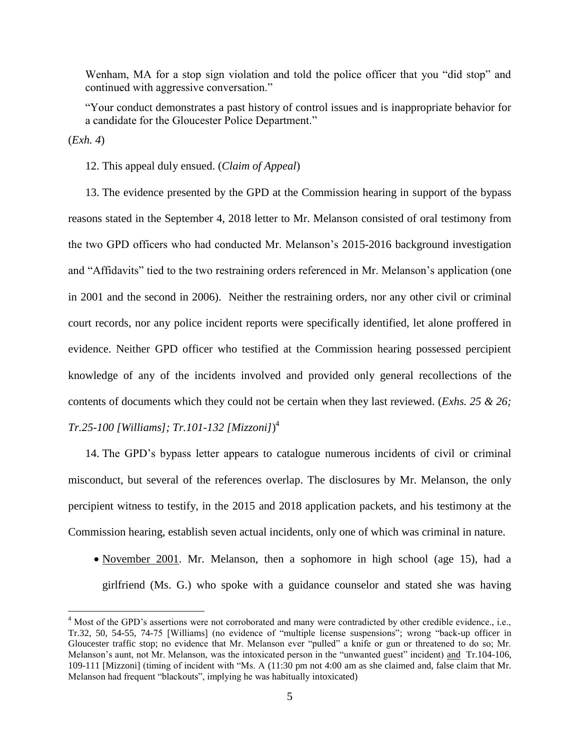Wenham, MA for a stop sign violation and told the police officer that you "did stop" and continued with aggressive conversation."

"Your conduct demonstrates a past history of control issues and is inappropriate behavior for a candidate for the Gloucester Police Department."

(*Exh. 4*)

 $\overline{a}$ 

## 12. This appeal duly ensued. (*Claim of Appeal*)

13. The evidence presented by the GPD at the Commission hearing in support of the bypass reasons stated in the September 4, 2018 letter to Mr. Melanson consisted of oral testimony from the two GPD officers who had conducted Mr. Melanson's 2015-2016 background investigation and "Affidavits" tied to the two restraining orders referenced in Mr. Melanson's application (one in 2001 and the second in 2006). Neither the restraining orders, nor any other civil or criminal court records, nor any police incident reports were specifically identified, let alone proffered in evidence. Neither GPD officer who testified at the Commission hearing possessed percipient knowledge of any of the incidents involved and provided only general recollections of the contents of documents which they could not be certain when they last reviewed. (*Exhs. 25 & 26; Tr.25-100 [Williams]; Tr.101-132 [Mizzoni]*) 4

14. The GPD's bypass letter appears to catalogue numerous incidents of civil or criminal misconduct, but several of the references overlap. The disclosures by Mr. Melanson, the only percipient witness to testify, in the 2015 and 2018 application packets, and his testimony at the Commission hearing, establish seven actual incidents, only one of which was criminal in nature.

• November 2001. Mr. Melanson, then a sophomore in high school (age 15), had a girlfriend (Ms. G.) who spoke with a guidance counselor and stated she was having

<sup>4</sup> Most of the GPD's assertions were not corroborated and many were contradicted by other credible evidence., i.e., Tr.32, 50, 54-55, 74-75 [Williams] (no evidence of "multiple license suspensions"; wrong "back-up officer in Gloucester traffic stop; no evidence that Mr. Melanson ever "pulled" a knife or gun or threatened to do so; Mr. Melanson's aunt, not Mr. Melanson, was the intoxicated person in the "unwanted guest" incident) and Tr.104-106, 109-111 [Mizzoni] (timing of incident with "Ms. A (11:30 pm not 4:00 am as she claimed and, false claim that Mr. Melanson had frequent "blackouts", implying he was habitually intoxicated)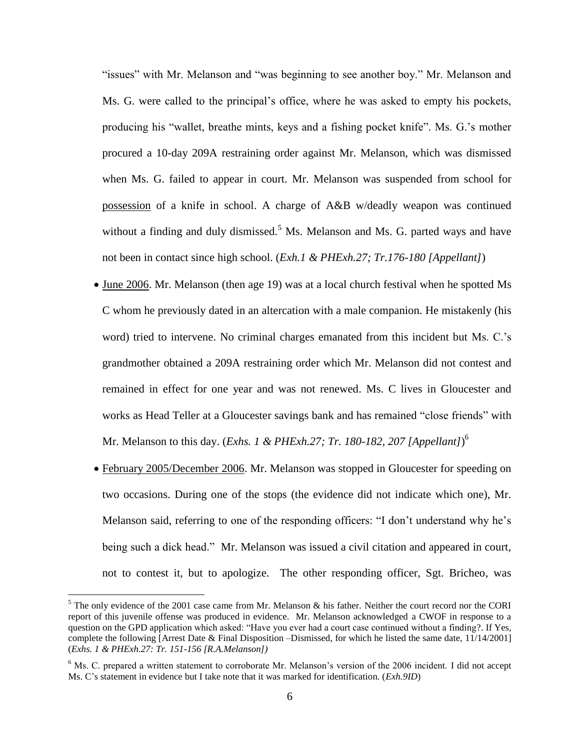"issues" with Mr. Melanson and "was beginning to see another boy." Mr. Melanson and Ms. G. were called to the principal's office, where he was asked to empty his pockets, producing his "wallet, breathe mints, keys and a fishing pocket knife". Ms. G.'s mother procured a 10-day 209A restraining order against Mr. Melanson, which was dismissed when Ms. G. failed to appear in court. Mr. Melanson was suspended from school for possession of a knife in school. A charge of A&B w/deadly weapon was continued without a finding and duly dismissed.<sup>5</sup> Ms. Melanson and Ms. G. parted ways and have not been in contact since high school. (*Exh.1 & PHExh.27; Tr.176-180 [Appellant]*)

- June 2006. Mr. Melanson (then age 19) was at a local church festival when he spotted Ms C whom he previously dated in an altercation with a male companion. He mistakenly (his word) tried to intervene. No criminal charges emanated from this incident but Ms. C.'s grandmother obtained a 209A restraining order which Mr. Melanson did not contest and remained in effect for one year and was not renewed. Ms. C lives in Gloucester and works as Head Teller at a Gloucester savings bank and has remained "close friends" with Mr. Melanson to this day. (*Exhs. 1 & PHExh.27; Tr. 180-182, 207 [Appellant]*) 6
- February 2005/December 2006. Mr. Melanson was stopped in Gloucester for speeding on two occasions. During one of the stops (the evidence did not indicate which one), Mr. Melanson said, referring to one of the responding officers: "I don't understand why he's being such a dick head." Mr. Melanson was issued a civil citation and appeared in court, not to contest it, but to apologize. The other responding officer, Sgt. Bricheo, was

 $\overline{a}$ 

 $<sup>5</sup>$  The only evidence of the 2001 case came from Mr. Melanson & his father. Neither the court record nor the CORI</sup> report of this juvenile offense was produced in evidence. Mr. Melanson acknowledged a CWOF in response to a question on the GPD application which asked: "Have you ever had a court case continued without a finding?. If Yes, complete the following [Arrest Date & Final Disposition –Dismissed, for which he listed the same date, 11/14/2001] (*Exhs. 1 & PHExh.27: Tr. 151-156 [R.A.Melanson])*

<sup>&</sup>lt;sup>6</sup> Ms. C. prepared a written statement to corroborate Mr. Melanson's version of the 2006 incident. I did not accept Ms. C's statement in evidence but I take note that it was marked for identification. (*Exh.9ID*)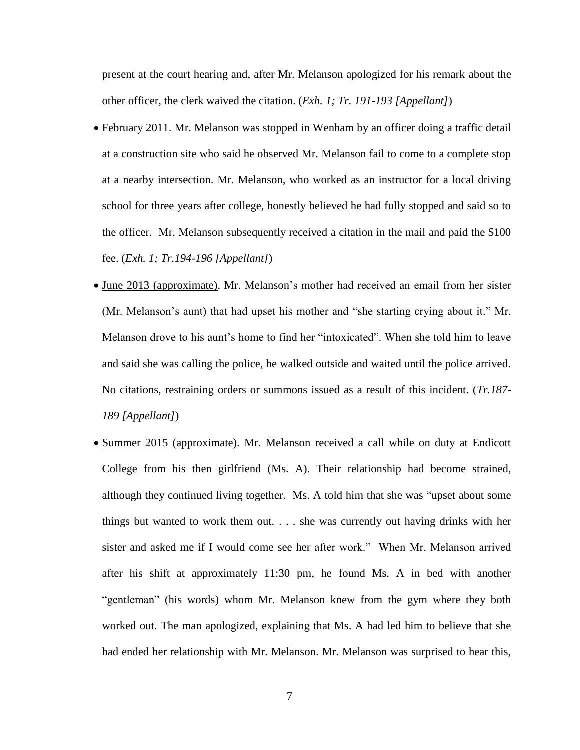present at the court hearing and, after Mr. Melanson apologized for his remark about the other officer, the clerk waived the citation. (*Exh. 1; Tr. 191-193 [Appellant]*)

- February 2011. Mr. Melanson was stopped in Wenham by an officer doing a traffic detail at a construction site who said he observed Mr. Melanson fail to come to a complete stop at a nearby intersection. Mr. Melanson, who worked as an instructor for a local driving school for three years after college, honestly believed he had fully stopped and said so to the officer. Mr. Melanson subsequently received a citation in the mail and paid the \$100 fee. (*Exh. 1; Tr.194-196 [Appellant]*)
- June 2013 (approximate). Mr. Melanson's mother had received an email from her sister (Mr. Melanson's aunt) that had upset his mother and "she starting crying about it." Mr. Melanson drove to his aunt's home to find her "intoxicated". When she told him to leave and said she was calling the police, he walked outside and waited until the police arrived. No citations, restraining orders or summons issued as a result of this incident. (*Tr.187- 189 [Appellant]*)
- Summer 2015 (approximate). Mr. Melanson received a call while on duty at Endicott College from his then girlfriend (Ms. A). Their relationship had become strained, although they continued living together. Ms. A told him that she was "upset about some things but wanted to work them out. . . . she was currently out having drinks with her sister and asked me if I would come see her after work." When Mr. Melanson arrived after his shift at approximately 11:30 pm, he found Ms. A in bed with another "gentleman" (his words) whom Mr. Melanson knew from the gym where they both worked out. The man apologized, explaining that Ms. A had led him to believe that she had ended her relationship with Mr. Melanson. Mr. Melanson was surprised to hear this,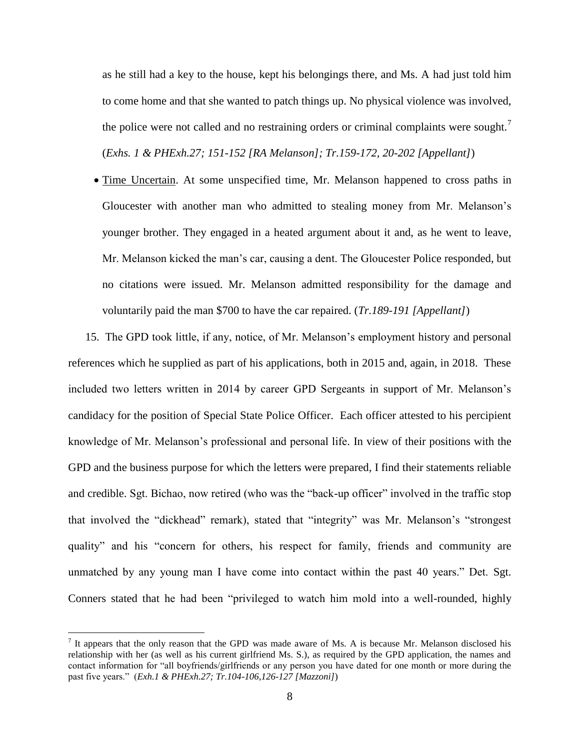as he still had a key to the house, kept his belongings there, and Ms. A had just told him to come home and that she wanted to patch things up. No physical violence was involved, the police were not called and no restraining orders or criminal complaints were sought.<sup>7</sup> (*Exhs. 1 & PHExh.27; 151-152 [RA Melanson]; Tr.159-172, 20-202 [Appellant]*)

• Time Uncertain. At some unspecified time, Mr. Melanson happened to cross paths in Gloucester with another man who admitted to stealing money from Mr. Melanson's younger brother. They engaged in a heated argument about it and, as he went to leave, Mr. Melanson kicked the man's car, causing a dent. The Gloucester Police responded, but no citations were issued. Mr. Melanson admitted responsibility for the damage and voluntarily paid the man \$700 to have the car repaired. (*Tr.189-191 [Appellant]*)

15. The GPD took little, if any, notice, of Mr. Melanson's employment history and personal references which he supplied as part of his applications, both in 2015 and, again, in 2018. These included two letters written in 2014 by career GPD Sergeants in support of Mr. Melanson's candidacy for the position of Special State Police Officer. Each officer attested to his percipient knowledge of Mr. Melanson's professional and personal life. In view of their positions with the GPD and the business purpose for which the letters were prepared, I find their statements reliable and credible. Sgt. Bichao, now retired (who was the "back-up officer" involved in the traffic stop that involved the "dickhead" remark), stated that "integrity" was Mr. Melanson's "strongest quality" and his "concern for others, his respect for family, friends and community are unmatched by any young man I have come into contact within the past 40 years." Det. Sgt. Conners stated that he had been "privileged to watch him mold into a well-rounded, highly

 $\overline{a}$ 

 $<sup>7</sup>$  It appears that the only reason that the GPD was made aware of Ms. A is because Mr. Melanson disclosed his</sup> relationship with her (as well as his current girlfriend Ms. S.), as required by the GPD application, the names and contact information for "all boyfriends/girlfriends or any person you have dated for one month or more during the past five years." (*Exh.1 & PHExh.27; Tr.104-106,126-127 [Mazzoni]*)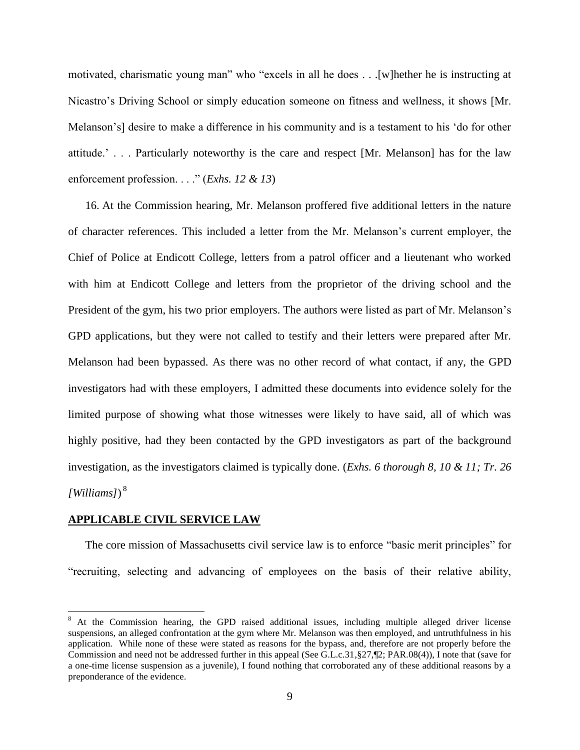motivated, charismatic young man" who "excels in all he does . . .[w]hether he is instructing at Nicastro's Driving School or simply education someone on fitness and wellness, it shows [Mr. Melanson's] desire to make a difference in his community and is a testament to his 'do for other attitude.' . . . Particularly noteworthy is the care and respect [Mr. Melanson] has for the law enforcement profession. . . ." (*Exhs. 12 & 13*)

16. At the Commission hearing, Mr. Melanson proffered five additional letters in the nature of character references. This included a letter from the Mr. Melanson's current employer, the Chief of Police at Endicott College, letters from a patrol officer and a lieutenant who worked with him at Endicott College and letters from the proprietor of the driving school and the President of the gym, his two prior employers. The authors were listed as part of Mr. Melanson's GPD applications, but they were not called to testify and their letters were prepared after Mr. Melanson had been bypassed. As there was no other record of what contact, if any, the GPD investigators had with these employers, I admitted these documents into evidence solely for the limited purpose of showing what those witnesses were likely to have said, all of which was highly positive, had they been contacted by the GPD investigators as part of the background investigation, as the investigators claimed is typically done. (*Exhs. 6 thorough 8, 10 & 11; Tr. 26 [Williams]*) 8

## **APPLICABLE CIVIL SERVICE LAW**

 $\overline{a}$ 

The core mission of Massachusetts civil service law is to enforce "basic merit principles" for "recruiting, selecting and advancing of employees on the basis of their relative ability,

<sup>&</sup>lt;sup>8</sup> At the Commission hearing, the GPD raised additional issues, including multiple alleged driver license suspensions, an alleged confrontation at the gym where Mr. Melanson was then employed, and untruthfulness in his application. While none of these were stated as reasons for the bypass, and, therefore are not properly before the Commission and need not be addressed further in this appeal (See G.L.c.31, §27,¶2; PAR.08(4)), I note that (save for a one-time license suspension as a juvenile), I found nothing that corroborated any of these additional reasons by a preponderance of the evidence.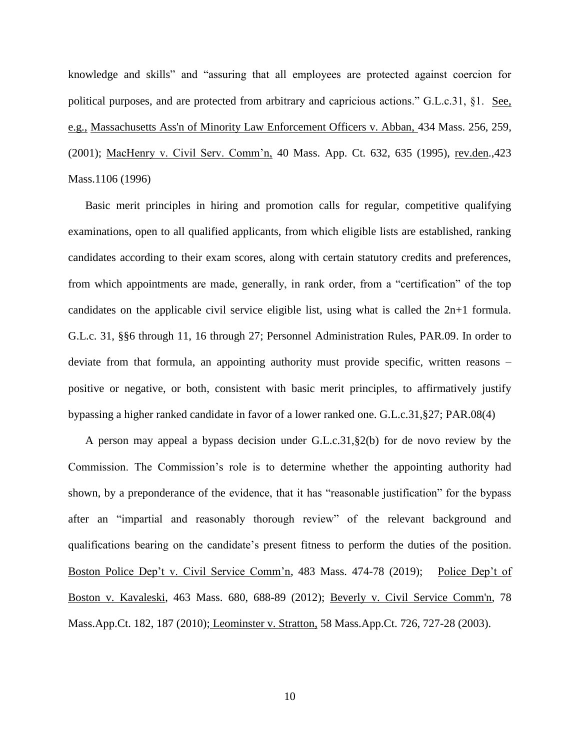knowledge and skills" and "assuring that all employees are protected against coercion for political purposes, and are protected from arbitrary and capricious actions." G.L.c.31, §1. See, e.g., [Massachusetts Ass'n of Minority Law Enforcement Officers v. Abban,](http://web2.westlaw.com/find/default.wl?mt=Massachusetts&db=578&rs=WLW15.04&tc=-1&rp=%2ffind%2fdefault.wl&findtype=Y&ordoc=2029136022&serialnum=2001441097&vr=2.0&fn=_top&sv=Split&tf=-1&pbc=70F732C1&utid=1) 434 Mass. 256, 259, [\(2001\);](http://web2.westlaw.com/find/default.wl?mt=Massachusetts&db=578&rs=WLW15.04&tc=-1&rp=%2ffind%2fdefault.wl&findtype=Y&ordoc=2029136022&serialnum=2001441097&vr=2.0&fn=_top&sv=Split&tf=-1&pbc=70F732C1&utid=1) MacHenry v. Civil Serv. Comm'n, 40 Mass. App. Ct. 632, 635 (1995), rev.den.,423 Mass.1106 (1996)

Basic merit principles in hiring and promotion calls for regular, competitive qualifying examinations, open to all qualified applicants, from which eligible lists are established, ranking candidates according to their exam scores, along with certain statutory credits and preferences, from which appointments are made, generally, in rank order, from a "certification" of the top candidates on the applicable civil service eligible list, using what is called the 2n+1 formula. G.L.c. 31, §§6 through 11, 16 through 27; Personnel Administration Rules, PAR.09. In order to deviate from that formula, an appointing authority must provide specific, written reasons – positive or negative, or both, consistent with basic merit principles, to affirmatively justify bypassing a higher ranked candidate in favor of a lower ranked one. G.L.c.31,§27; PAR.08(4)

A person may appeal a bypass decision under G.L.c.31,§2(b) for de novo review by the Commission. The Commission's role is to determine whether the appointing authority had shown, by a preponderance of the evidence, that it has "reasonable justification" for the bypass after an "impartial and reasonably thorough review" of the relevant background and qualifications bearing on the candidate's present fitness to perform the duties of the position. Boston Police Dep't v. Civil Service Comm'n, 483 Mass. 474-78 (2019); Police Dep't of Boston v. Kavaleski, 463 Mass. 680, 688-89 (2012); [Beverly v. Civil Service Comm'n, 78](http://web2.westlaw.com/find/default.wl?mt=Massachusetts&db=578&rs=WLW15.04&tc=-1&rp=%2ffind%2fdefault.wl&findtype=Y&ordoc=2029136022&serialnum=2023501172&vr=2.0&fn=_top&sv=Split&tf=-1&pbc=70F732C1&utid=1)  [Mass.App.Ct. 182, 187 \(2010\);](http://web2.westlaw.com/find/default.wl?mt=Massachusetts&db=578&rs=WLW15.04&tc=-1&rp=%2ffind%2fdefault.wl&findtype=Y&ordoc=2029136022&serialnum=2023501172&vr=2.0&fn=_top&sv=Split&tf=-1&pbc=70F732C1&utid=1) Leominster v. Stratton, 58 Mass.App.Ct. 726, 727-28 (2003).

10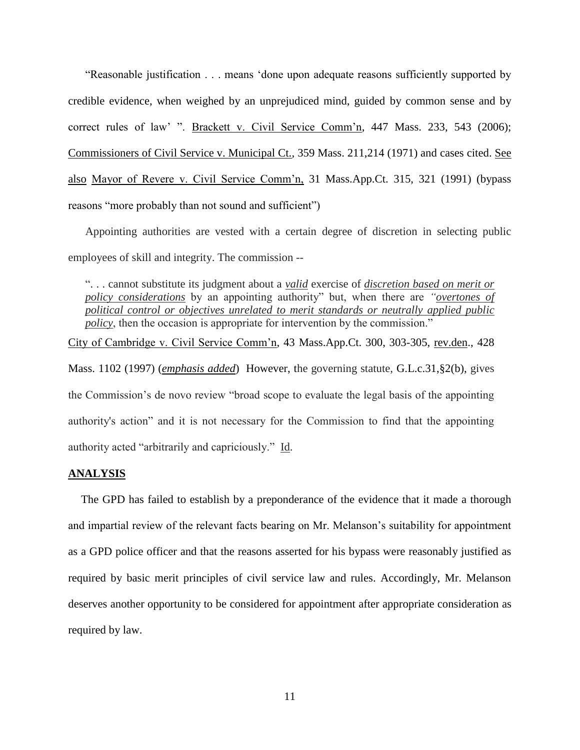"Reasonable justification . . . means 'done upon adequate reasons sufficiently supported by credible evidence, when weighed by an unprejudiced mind, guided by common sense and by correct rules of law' ". Brackett v. Civil Service Comm'n, 447 Mass. 233, 543 (2006); Commissioners of Civil Service v. Municipal Ct., 359 Mass. 211,214 (1971) and cases cited. See also Mayor of Revere v. Civil Service Comm'n, 31 Mass.App.Ct. 315, 321 (1991) (bypass reasons "more probably than not sound and sufficient")

Appointing authorities are vested with a certain degree of discretion in selecting public employees of skill and integrity. The commission --

". . . cannot substitute its judgment about a *valid* exercise of *discretion based on merit or policy considerations* by an appointing authority" but, when there are *"overtones of political control or objectives unrelated to merit standards or neutrally applied public policy*, then the occasion is appropriate for intervention by the commission."

City of Cambridge v. Civil Service Comm'n, 43 Mass.App.Ct. 300, 303-305, rev.den., 428 Mass. 1102 (1997) (*emphasis added*) However, the governing statute, [G.L.c.31,§2\(b\),](https://1.next.westlaw.com/Link/Document/FullText?findType=L&pubNum=1000042&cite=MAST31S2&originatingDoc=Ib21af0ded3bd11d99439b076ef9ec4de&refType=LQ&originationContext=document&transitionType=DocumentItem&contextData=(sc.History*oc.UserEnteredCitation)) gives the Commission's de novo review "broad scope to evaluate the legal basis of the appointing authority's action" and it is not necessary for the Commission to find that the appointing authority acted "arbitrarily and capriciously." Id.

## **ANALYSIS**

The GPD has failed to establish by a preponderance of the evidence that it made a thorough and impartial review of the relevant facts bearing on Mr. Melanson's suitability for appointment as a GPD police officer and that the reasons asserted for his bypass were reasonably justified as required by basic merit principles of civil service law and rules. Accordingly, Mr. Melanson deserves another opportunity to be considered for appointment after appropriate consideration as required by law.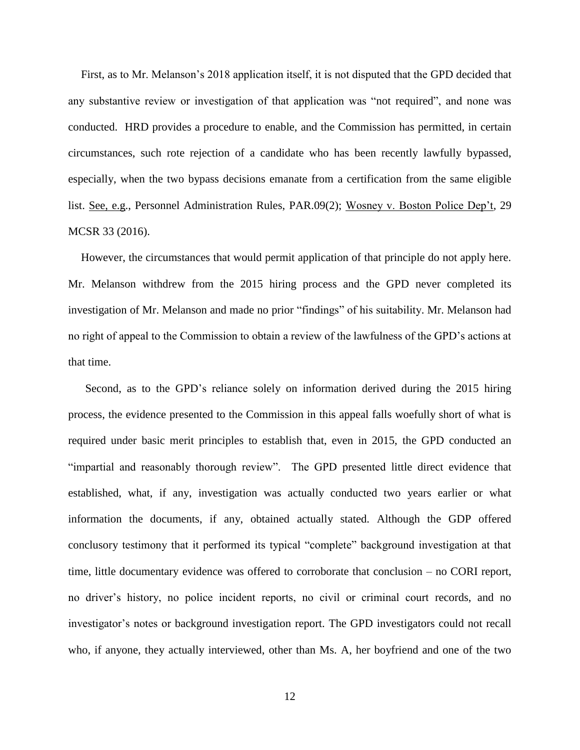First, as to Mr. Melanson's 2018 application itself, it is not disputed that the GPD decided that any substantive review or investigation of that application was "not required", and none was conducted. HRD provides a procedure to enable, and the Commission has permitted, in certain circumstances, such rote rejection of a candidate who has been recently lawfully bypassed, especially, when the two bypass decisions emanate from a certification from the same eligible list. See, e.g., Personnel Administration Rules, PAR.09(2); Wosney v. Boston Police Dep't, 29 MCSR 33 (2016).

However, the circumstances that would permit application of that principle do not apply here. Mr. Melanson withdrew from the 2015 hiring process and the GPD never completed its investigation of Mr. Melanson and made no prior "findings" of his suitability. Mr. Melanson had no right of appeal to the Commission to obtain a review of the lawfulness of the GPD's actions at that time.

Second, as to the GPD's reliance solely on information derived during the 2015 hiring process, the evidence presented to the Commission in this appeal falls woefully short of what is required under basic merit principles to establish that, even in 2015, the GPD conducted an "impartial and reasonably thorough review". The GPD presented little direct evidence that established, what, if any, investigation was actually conducted two years earlier or what information the documents, if any, obtained actually stated. Although the GDP offered conclusory testimony that it performed its typical "complete" background investigation at that time, little documentary evidence was offered to corroborate that conclusion – no CORI report, no driver's history, no police incident reports, no civil or criminal court records, and no investigator's notes or background investigation report. The GPD investigators could not recall who, if anyone, they actually interviewed, other than Ms. A, her boyfriend and one of the two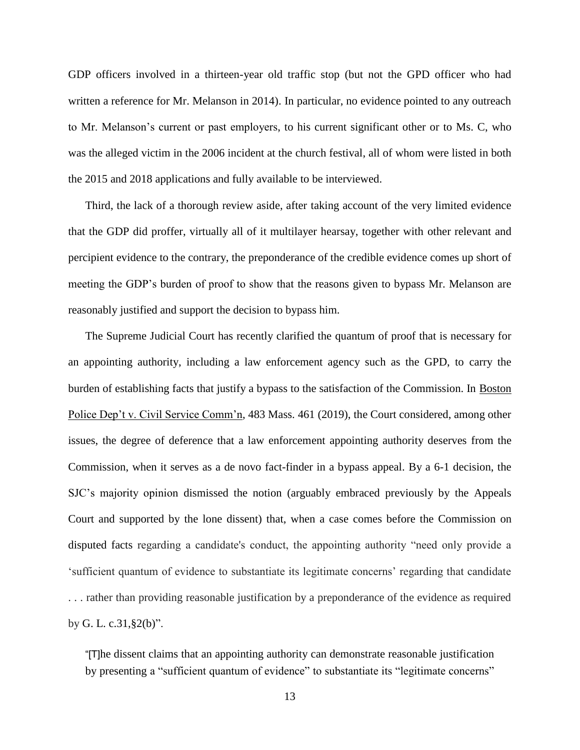GDP officers involved in a thirteen-year old traffic stop (but not the GPD officer who had written a reference for Mr. Melanson in 2014). In particular, no evidence pointed to any outreach to Mr. Melanson's current or past employers, to his current significant other or to Ms. C, who was the alleged victim in the 2006 incident at the church festival, all of whom were listed in both the 2015 and 2018 applications and fully available to be interviewed.

Third, the lack of a thorough review aside, after taking account of the very limited evidence that the GDP did proffer, virtually all of it multilayer hearsay, together with other relevant and percipient evidence to the contrary, the preponderance of the credible evidence comes up short of meeting the GDP's burden of proof to show that the reasons given to bypass Mr. Melanson are reasonably justified and support the decision to bypass him.

The Supreme Judicial Court has recently clarified the quantum of proof that is necessary for an appointing authority, including a law enforcement agency such as the GPD, to carry the burden of establishing facts that justify a bypass to the satisfaction of the Commission. In Boston Police Dep't v. Civil Service Comm'n, 483 Mass. 461 (2019), the Court considered, among other issues, the degree of deference that a law enforcement appointing authority deserves from the Commission, when it serves as a de novo fact-finder in a bypass appeal. By a 6-1 decision, the SJC's majority opinion dismissed the notion (arguably embraced previously by the Appeals Court and supported by the lone dissent) that, when a case comes before the Commission on disputed facts regarding a candidate's conduct, the appointing authority "need only provide a 'sufficient quantum of evidence to substantiate its legitimate concerns' regarding that candidate . . . rather than providing reasonable justification by a preponderance of the evidence as required by [G. L. c.31,§2\(b\)"](https://1.next.westlaw.com/Link/Document/FullText?findType=L&pubNum=1000042&cite=MAST31S2&originatingDoc=I57c43630fb4611e9aa89c18bc663273c&refType=SP&originationContext=document&transitionType=DocumentItem&contextData=(sc.UserEnteredCitation)#co_pp_a83b000018c76).

"[T]he dissent claims that an appointing authority can demonstrate reasonable justification by presenting a "sufficient quantum of evidence" to substantiate its "legitimate concerns"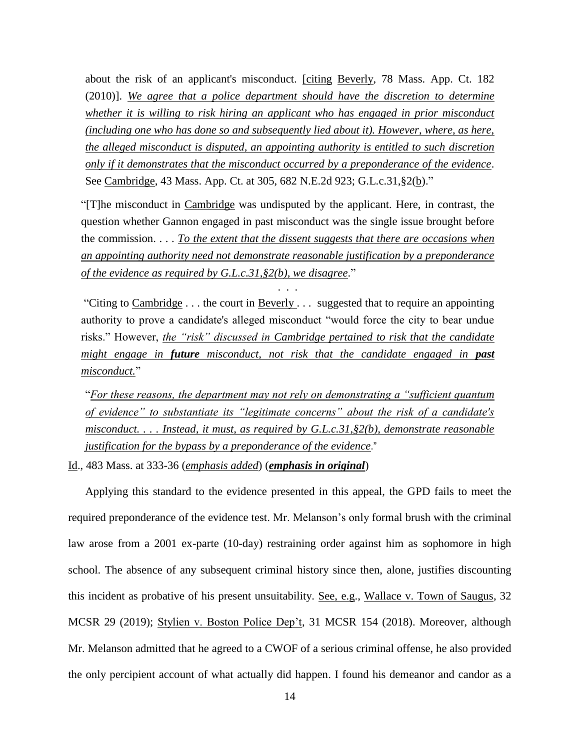about the risk of an applicant's misconduct. [citing [Beverly, 78 Mass. App. Ct. 182](https://1.next.westlaw.com/Link/Document/FullText?findType=Y&serNum=2023501172&pubNum=0000523&originatingDoc=I57c43630fb4611e9aa89c18bc663273c&refType=RP&fi=co_pp_sp_523_188&originationContext=document&transitionType=DocumentItem&contextData=(sc.UserEnteredCitation)#co_pp_sp_523_188) (2010)]. *We agree that a police department should have the discretion to determine whether it is willing to risk hiring an applicant who has engaged in prior misconduct (including one who has done so and subsequently lied about it). However, where, as here, the alleged misconduct is disputed, an appointing authority is entitled to such discretion only if it demonstrates that the misconduct occurred by a preponderance of the evidence*. See [Cambridge, 43 Mass. App. Ct. at 305, 682 N.E.2d 923;](https://1.next.westlaw.com/Link/Document/FullText?findType=Y&serNum=1997166118&pubNum=0000523&originatingDoc=I57c43630fb4611e9aa89c18bc663273c&refType=RP&fi=co_pp_sp_523_305&originationContext=document&transitionType=DocumentItem&contextData=(sc.UserEnteredCitation)#co_pp_sp_523_305) [G.L.c.31,§2\(b\).](https://1.next.westlaw.com/Link/Document/FullText?findType=L&pubNum=1000042&cite=MAST31S2&originatingDoc=I57c43630fb4611e9aa89c18bc663273c&refType=SP&originationContext=document&transitionType=DocumentItem&contextData=(sc.UserEnteredCitation)#co_pp_a83b000018c76)"

"[T]he misconduct in [Cambridge](https://1.next.westlaw.com/Link/Document/FullText?findType=Y&serNum=1997166118&pubNum=0000523&originatingDoc=I57c43630fb4611e9aa89c18bc663273c&refType=RP&originationContext=document&transitionType=DocumentItem&contextData=(sc.UserEnteredCitation)) was undisputed by the applicant. Here, in contrast, the question whether Gannon engaged in past misconduct was the single issue brought before the commission. . . . *To the extent that the dissent suggests that there are occasions when an appointing authority need not demonstrate reasonable justification by a preponderance of the evidence as required by [G.L.c.31,§2\(b\),](https://1.next.westlaw.com/Link/Document/FullText?findType=L&pubNum=1000042&cite=MAST31S2&originatingDoc=I57c43630fb4611e9aa89c18bc663273c&refType=SP&originationContext=document&transitionType=DocumentItem&contextData=(sc.UserEnteredCitation)#co_pp_a83b000018c76) we disagree*."

. . .

"Citing to  $Cambridge \dots$  the court in  $Beverly \dots$  suggested that to require an appointing authority to prove a candidate's alleged misconduct "would force the city to bear undue risks." However, *the "risk" discussed in [Cambridge](https://1.next.westlaw.com/Link/Document/FullText?findType=Y&serNum=1997166118&pubNum=0000523&originatingDoc=I57c43630fb4611e9aa89c18bc663273c&refType=RP&originationContext=document&transitionType=DocumentItem&contextData=(sc.UserEnteredCitation)) pertained to risk that the candidate might engage in future misconduct, not risk that the candidate engaged in past misconduct.*"

"*For these reasons, the department may not rely on demonstrating a "sufficient quantum of evidence" to substantiate its "legitimate concerns" about the risk of a candidate's misconduct. . . . Instead, it must, as required by [G.L.c.31,§2\(b\),](https://1.next.westlaw.com/Link/Document/FullText?findType=L&pubNum=1000042&cite=MAST31S2&originatingDoc=I57c43630fb4611e9aa89c18bc663273c&refType=SP&originationContext=document&transitionType=DocumentItem&contextData=(sc.UserEnteredCitation)#co_pp_a83b000018c76) demonstrate reasonable justification for the bypass by a preponderance of the evidence*."

Id., 483 Mass. at 333-36 (*emphasis added*) (*emphasis in original*)

Applying this standard to the evidence presented in this appeal, the GPD fails to meet the required preponderance of the evidence test. Mr. Melanson's only formal brush with the criminal law arose from a 2001 ex-parte (10-day) restraining order against him as sophomore in high school. The absence of any subsequent criminal history since then, alone, justifies discounting this incident as probative of his present unsuitability. See, e.g., Wallace v. Town of Saugus, 32 MCSR 29 (2019); Stylien v. Boston Police Dep't, 31 MCSR 154 (2018). Moreover, although Mr. Melanson admitted that he agreed to a CWOF of a serious criminal offense, he also provided the only percipient account of what actually did happen. I found his demeanor and candor as a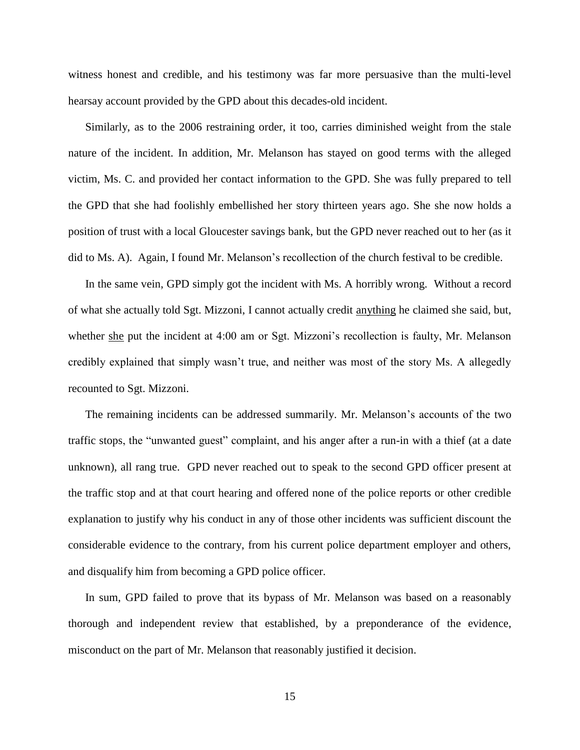witness honest and credible, and his testimony was far more persuasive than the multi-level hearsay account provided by the GPD about this decades-old incident.

Similarly, as to the 2006 restraining order, it too, carries diminished weight from the stale nature of the incident. In addition, Mr. Melanson has stayed on good terms with the alleged victim, Ms. C. and provided her contact information to the GPD. She was fully prepared to tell the GPD that she had foolishly embellished her story thirteen years ago. She she now holds a position of trust with a local Gloucester savings bank, but the GPD never reached out to her (as it did to Ms. A). Again, I found Mr. Melanson's recollection of the church festival to be credible.

In the same vein, GPD simply got the incident with Ms. A horribly wrong. Without a record of what she actually told Sgt. Mizzoni, I cannot actually credit anything he claimed she said, but, whether she put the incident at 4:00 am or Sgt. Mizzoni's recollection is faulty, Mr. Melanson credibly explained that simply wasn't true, and neither was most of the story Ms. A allegedly recounted to Sgt. Mizzoni.

The remaining incidents can be addressed summarily. Mr. Melanson's accounts of the two traffic stops, the "unwanted guest" complaint, and his anger after a run-in with a thief (at a date unknown), all rang true. GPD never reached out to speak to the second GPD officer present at the traffic stop and at that court hearing and offered none of the police reports or other credible explanation to justify why his conduct in any of those other incidents was sufficient discount the considerable evidence to the contrary, from his current police department employer and others, and disqualify him from becoming a GPD police officer.

In sum, GPD failed to prove that its bypass of Mr. Melanson was based on a reasonably thorough and independent review that established, by a preponderance of the evidence, misconduct on the part of Mr. Melanson that reasonably justified it decision.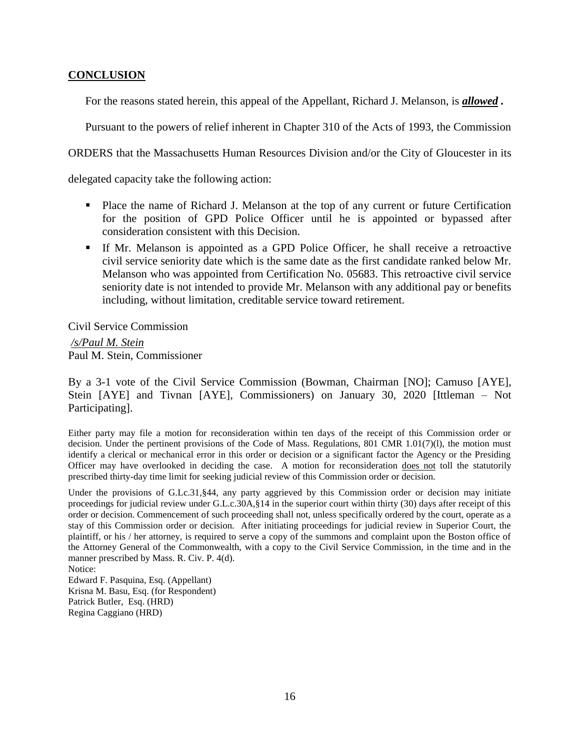# **CONCLUSION**

For the reasons stated herein, this appeal of the Appellant, Richard J. Melanson, is *allowed .*

Pursuant to the powers of relief inherent in Chapter 310 of the Acts of 1993, the Commission

ORDERS that the Massachusetts Human Resources Division and/or the City of Gloucester in its

delegated capacity take the following action:

- Place the name of Richard J. Melanson at the top of any current or future Certification for the position of GPD Police Officer until he is appointed or bypassed after consideration consistent with this Decision.
- If Mr. Melanson is appointed as a GPD Police Officer, he shall receive a retroactive civil service seniority date which is the same date as the first candidate ranked below Mr. Melanson who was appointed from Certification No. 05683. This retroactive civil service seniority date is not intended to provide Mr. Melanson with any additional pay or benefits including, without limitation, creditable service toward retirement.

Civil Service Commission

*/s/Paul M. Stein*  Paul M. Stein, Commissioner

By a 3-1 vote of the Civil Service Commission (Bowman, Chairman [NO]; Camuso [AYE], Stein [AYE] and Tivnan [AYE], Commissioners) on January 30, 2020 [Ittleman – Not Participating].

Either party may file a motion for reconsideration within ten days of the receipt of this Commission order or decision. Under the pertinent provisions of the Code of Mass. Regulations, 801 CMR 1.01(7)(l), the motion must identify a clerical or mechanical error in this order or decision or a significant factor the Agency or the Presiding Officer may have overlooked in deciding the case. A motion for reconsideration does not toll the statutorily prescribed thirty-day time limit for seeking judicial review of this Commission order or decision.

Under the provisions of G.Lc.31, §44, any party aggrieved by this Commission order or decision may initiate proceedings for judicial review under G.L.c.30A,§14 in the superior court within thirty (30) days after receipt of this order or decision. Commencement of such proceeding shall not, unless specifically ordered by the court, operate as a stay of this Commission order or decision. After initiating proceedings for judicial review in Superior Court, the plaintiff, or his / her attorney, is required to serve a copy of the summons and complaint upon the Boston office of the Attorney General of the Commonwealth, with a copy to the Civil Service Commission, in the time and in the manner prescribed by Mass. R. Civ. P. 4(d).

Notice: Edward F. Pasquina, Esq. (Appellant) Krisna M. Basu, Esq. (for Respondent) Patrick Butler, Esq. (HRD) Regina Caggiano (HRD)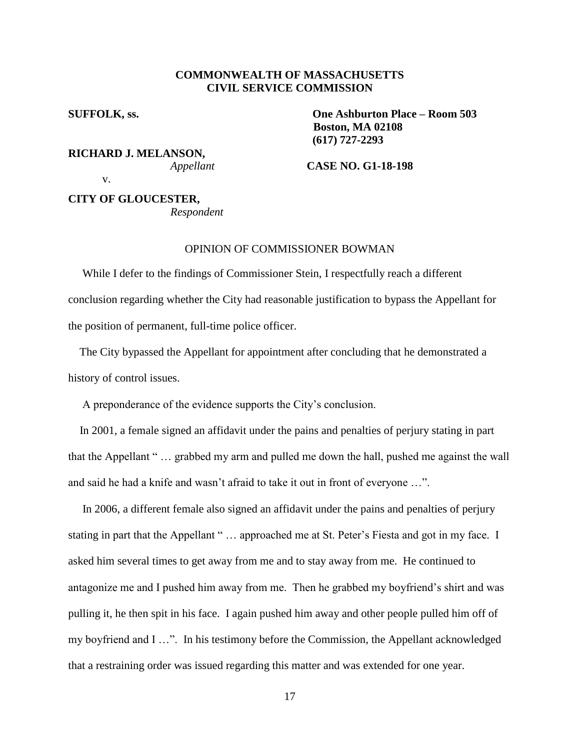## **COMMONWEALTH OF MASSACHUSETTS CIVIL SERVICE COMMISSION**

**RICHARD J. MELANSON,**

**SUFFOLK, ss. One Ashburton Place – Room 503 Boston, MA 02108 (617) 727-2293**

*Appellant* **CASE NO. G1-18-198**

v.

**CITY OF GLOUCESTER,** *Respondent*

## OPINION OF COMMISSIONER BOWMAN

 While I defer to the findings of Commissioner Stein, I respectfully reach a different conclusion regarding whether the City had reasonable justification to bypass the Appellant for the position of permanent, full-time police officer.

 The City bypassed the Appellant for appointment after concluding that he demonstrated a history of control issues.

A preponderance of the evidence supports the City's conclusion.

 In 2001, a female signed an affidavit under the pains and penalties of perjury stating in part that the Appellant " … grabbed my arm and pulled me down the hall, pushed me against the wall and said he had a knife and wasn't afraid to take it out in front of everyone …".

 In 2006, a different female also signed an affidavit under the pains and penalties of perjury stating in part that the Appellant " ... approached me at St. Peter's Fiesta and got in my face. I asked him several times to get away from me and to stay away from me. He continued to antagonize me and I pushed him away from me. Then he grabbed my boyfriend's shirt and was pulling it, he then spit in his face. I again pushed him away and other people pulled him off of my boyfriend and I …". In his testimony before the Commission, the Appellant acknowledged that a restraining order was issued regarding this matter and was extended for one year.